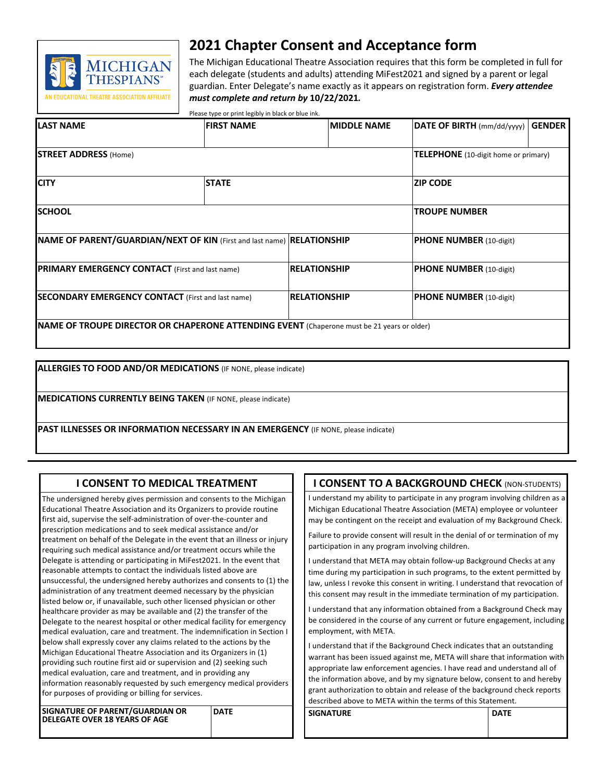

# **2021 Chapter Consent and Acceptance form**

The Michigan Educational Theatre Association requires that this form be completed in full for each delegate (students and adults) attending MiFest2021 and signed by a parent or legal guardian. Enter Delegate's name exactly as it appears on registration form. *Every attendee must complete and return by* **10/22/2021***.*

Please type or print legibly in black or blue ink.

| <b>ILAST NAME</b>                                                                                 | <b>FIRST NAME</b>    |                     | <b>IMIDDLE NAME</b> | <b>DATE OF BIRTH</b> (mm/dd/yyyy)    | <b>GENDER</b> |  |  |
|---------------------------------------------------------------------------------------------------|----------------------|---------------------|---------------------|--------------------------------------|---------------|--|--|
|                                                                                                   |                      |                     |                     |                                      |               |  |  |
| <b>STREET ADDRESS (Home)</b>                                                                      |                      |                     |                     | TELEPHONE (10-digit home or primary) |               |  |  |
| <b>CITY</b>                                                                                       | <b>STATE</b>         |                     |                     | IZIP CODE                            |               |  |  |
| <b>SCHOOL</b>                                                                                     | <b>TROUPE NUMBER</b> |                     |                     |                                      |               |  |  |
| NAME OF PARENT/GUARDIAN/NEXT OF KIN (First and last name) RELATIONSHIP                            |                      |                     |                     | <b>PHONE NUMBER</b> (10-digit)       |               |  |  |
| <b>PRIMARY EMERGENCY CONTACT</b> (First and last name)                                            |                      | <b>RELATIONSHIP</b> |                     | <b>PHONE NUMBER</b> (10-digit)       |               |  |  |
| <b>SECONDARY EMERGENCY CONTACT</b> (First and last name)                                          |                      | <b>RELATIONSHIP</b> |                     | PHONE NUMBER (10-digit)              |               |  |  |
| <b>NAME OF TROUPE DIRECTOR OR CHAPERONE ATTENDING EVENT</b> (Chaperone must be 21 years or older) |                      |                     |                     |                                      |               |  |  |

**ALLERGIES TO FOOD AND/OR MEDICATIONS** (IF NONE, please indicate)

**MEDICATIONS CURRENTLY BEING TAKEN** (IF NONE, please indicate)

**PAST ILLNESSES OR INFORMATION NECESSARY IN AN EMERGENCY** (IF NONE, please indicate)

# **I CONSENT TO MEDICAL TREATMENT**

The undersigned hereby gives permission and consents to the Michigan Educational Theatre Association and its Organizers to provide routine first aid, supervise the self-administration of over-the-counter and prescription medications and to seek medical assistance and/or treatment on behalf of the Delegate in the event that an illness or injury requiring such medical assistance and/or treatment occurs while the Delegate is attending or participating in MiFest2021. In the event that reasonable attempts to contact the individuals listed above are unsuccessful, the undersigned hereby authorizes and consents to (1) the administration of any treatment deemed necessary by the physician listed below or, if unavailable, such other licensed physician or other healthcare provider as may be available and (2) the transfer of the Delegate to the nearest hospital or other medical facility for emergency medical evaluation, care and treatment. The indemnification in Section I below shall expressly cover any claims related to the actions by the Michigan Educational Theatre Association and its Organizers in (1) providing such routine first aid or supervision and (2) seeking such medical evaluation, care and treatment, and in providing any information reasonably requested by such emergency medical providers for purposes of providing or billing for services.

**SIGNATURE OF PARENT/GUARDIAN OR DELEGATE OVER 18 YEARS OF AGE DATE**

# **I CONSENT TO A BACKGROUND CHECK (NON-STUDENTS)**

I understand my ability to participate in any program involving children as a Michigan Educational Theatre Association (META) employee or volunteer may be contingent on the receipt and evaluation of my Background Check.

Failure to provide consent will result in the denial of or termination of my participation in any program involving children.

I understand that META may obtain follow-up Background Checks at any time during my participation in such programs, to the extent permitted by law, unless I revoke this consent in writing. I understand that revocation of this consent may result in the immediate termination of my participation.

I understand that any information obtained from a Background Check may be considered in the course of any current or future engagement, including employment, with META.

I understand that if the Background Check indicates that an outstanding warrant has been issued against me, META will share that information with appropriate law enforcement agencies. I have read and understand all of the information above, and by my signature below, consent to and hereby grant authorization to obtain and release of the background check reports described above to META within the terms of this Statement.

**SIGNATURE DATE**